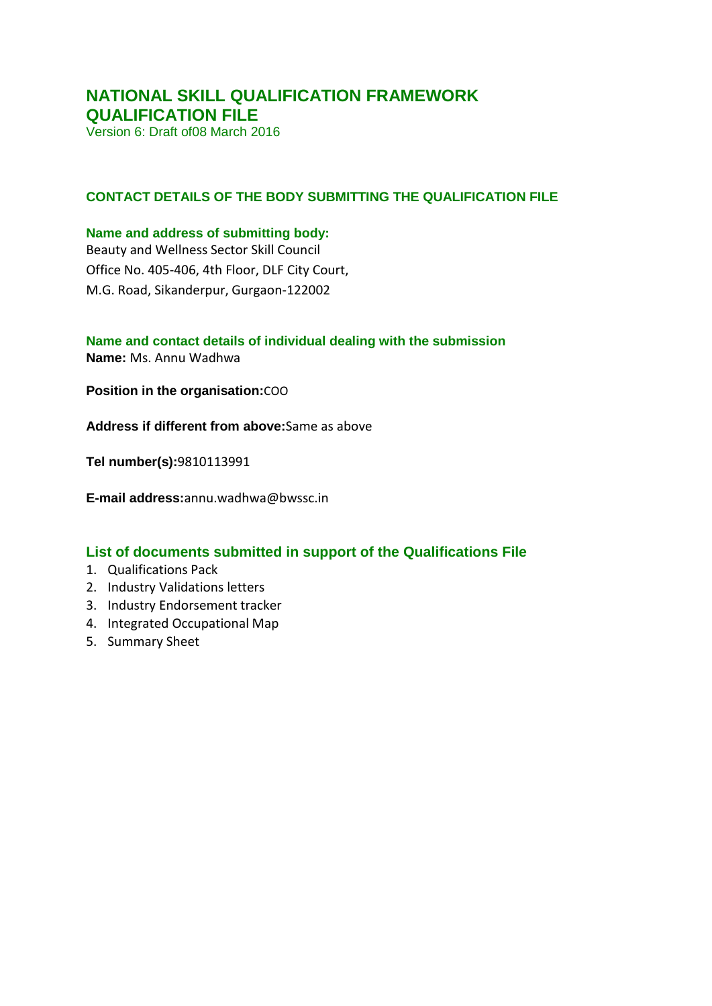### **NATIONAL SKILL QUALIFICATION FRAMEWORK QUALIFICATION FILE**

Version 6: Draft of08 March 2016

#### **CONTACT DETAILS OF THE BODY SUBMITTING THE QUALIFICATION FILE**

#### **Name and address of submitting body:**

Beauty and Wellness Sector Skill Council Office No. 405-406, 4th Floor, DLF City Court, M.G. Road, Sikanderpur, Gurgaon-122002

#### **Name and contact details of individual dealing with the submission Name:** Ms. Annu Wadhwa

**Position in the organisation:**COO

**Address if different from above:**Same as above

**Tel number(s):**9810113991

**E-mail address:**annu.wadhwa@bwssc.in

#### **List of documents submitted in support of the Qualifications File**

- 1. Qualifications Pack
- 2. Industry Validations letters
- 3. Industry Endorsement tracker
- 4. Integrated Occupational Map
- 5. Summary Sheet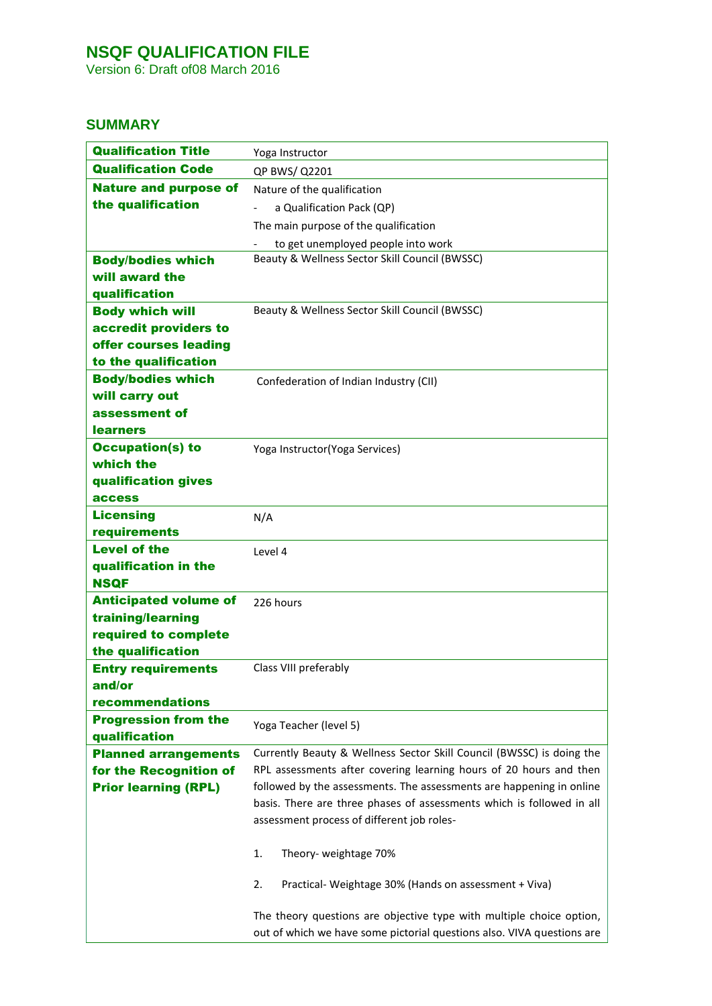Version 6: Draft of08 March 2016

### **SUMMARY**

| <b>Qualification Title</b>                   | Yoga Instructor                                                        |
|----------------------------------------------|------------------------------------------------------------------------|
| <b>Qualification Code</b>                    | QP BWS/ Q2201                                                          |
| <b>Nature and purpose of</b>                 | Nature of the qualification                                            |
| the qualification                            | a Qualification Pack (QP)                                              |
|                                              | The main purpose of the qualification                                  |
|                                              | to get unemployed people into work                                     |
| <b>Body/bodies which</b>                     | Beauty & Wellness Sector Skill Council (BWSSC)                         |
| will award the                               |                                                                        |
| qualification                                |                                                                        |
| <b>Body which will</b>                       | Beauty & Wellness Sector Skill Council (BWSSC)                         |
| accredit providers to                        |                                                                        |
| offer courses leading                        |                                                                        |
| to the qualification                         |                                                                        |
| <b>Body/bodies which</b>                     | Confederation of Indian Industry (CII)                                 |
| will carry out                               |                                                                        |
| assessment of                                |                                                                        |
| <b>learners</b><br><b>Occupation(s) to</b>   |                                                                        |
| which the                                    | Yoga Instructor(Yoga Services)                                         |
| qualification gives                          |                                                                        |
| access                                       |                                                                        |
| <b>Licensing</b>                             | N/A                                                                    |
| requirements                                 |                                                                        |
| <b>Level of the</b>                          | Level 4                                                                |
| qualification in the                         |                                                                        |
| <b>NSQF</b>                                  |                                                                        |
| <b>Anticipated volume of</b>                 | 226 hours                                                              |
| training/learning                            |                                                                        |
| required to complete                         |                                                                        |
| the qualification                            |                                                                        |
| <b>Entry requirements</b>                    | Class VIII preferably                                                  |
| and/or                                       |                                                                        |
| recommendations                              |                                                                        |
| <b>Progression from the</b><br>qualification | Yoga Teacher (level 5)                                                 |
| <b>Planned arrangements</b>                  | Currently Beauty & Wellness Sector Skill Council (BWSSC) is doing the  |
| for the Recognition of                       | RPL assessments after covering learning hours of 20 hours and then     |
| <b>Prior learning (RPL)</b>                  | followed by the assessments. The assessments are happening in online   |
|                                              | basis. There are three phases of assessments which is followed in all  |
|                                              | assessment process of different job roles-                             |
|                                              |                                                                        |
|                                              | 1.<br>Theory- weightage 70%                                            |
|                                              | 2.<br>Practical- Weightage 30% (Hands on assessment + Viva)            |
|                                              | The theory questions are objective type with multiple choice option,   |
|                                              | out of which we have some pictorial questions also. VIVA questions are |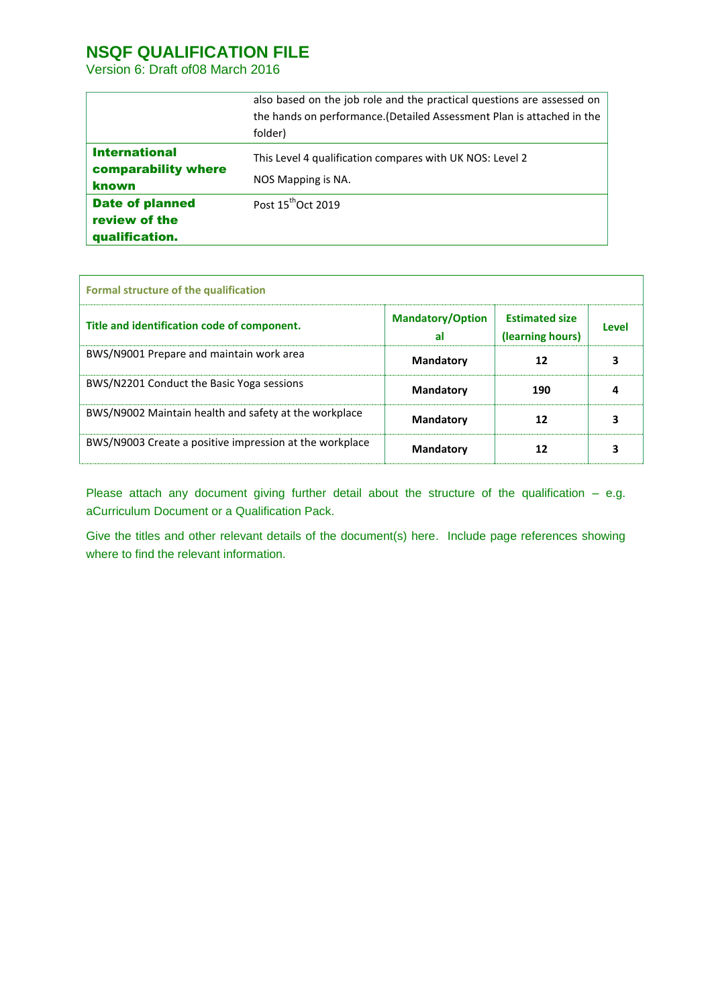Version 6: Draft of08 March 2016

|                        | also based on the job role and the practical questions are assessed on |
|------------------------|------------------------------------------------------------------------|
|                        | the hands on performance. (Detailed Assessment Plan is attached in the |
|                        | folder)                                                                |
| <b>International</b>   | This Level 4 qualification compares with UK NOS: Level 2               |
| comparability where    |                                                                        |
| <b>known</b>           | NOS Mapping is NA.                                                     |
| <b>Date of planned</b> | Post 15 <sup>th</sup> Oct 2019                                         |
| review of the          |                                                                        |
| qualification.         |                                                                        |

| <b>Formal structure of the qualification</b>            |                               |                                           |       |
|---------------------------------------------------------|-------------------------------|-------------------------------------------|-------|
| Title and identification code of component.             | <b>Mandatory/Option</b><br>al | <b>Estimated size</b><br>(learning hours) | Level |
| BWS/N9001 Prepare and maintain work area                | <b>Mandatory</b>              | 12                                        |       |
| BWS/N2201 Conduct the Basic Yoga sessions               | <b>Mandatory</b>              | 190                                       |       |
| BWS/N9002 Maintain health and safety at the workplace   | <b>Mandatory</b>              | 12                                        |       |
| BWS/N9003 Create a positive impression at the workplace | <b>Mandatory</b>              | 12                                        |       |

Please attach any document giving further detail about the structure of the qualification – e.g. aCurriculum Document or a Qualification Pack.

Give the titles and other relevant details of the document(s) here. Include page references showing where to find the relevant information.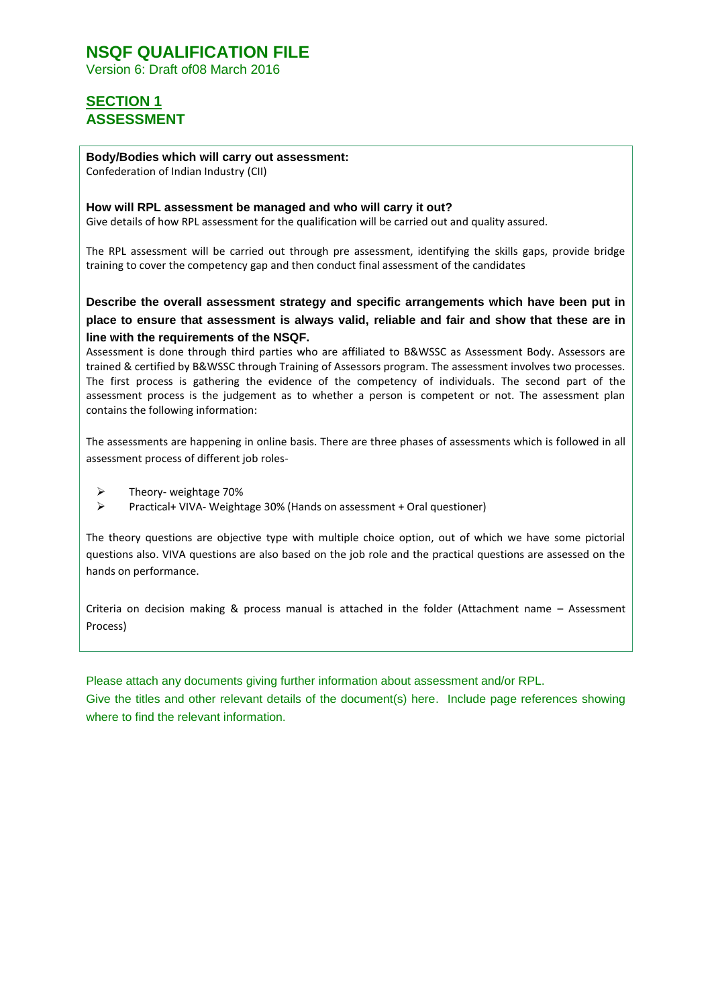Version 6: Draft of08 March 2016

### **SECTION 1 ASSESSMENT**

#### **Body/Bodies which will carry out assessment:**

Confederation of Indian Industry (CII)

#### **How will RPL assessment be managed and who will carry it out?**

Give details of how RPL assessment for the qualification will be carried out and quality assured.

The RPL assessment will be carried out through pre assessment, identifying the skills gaps, provide bridge training to cover the competency gap and then conduct final assessment of the candidates

**Describe the overall assessment strategy and specific arrangements which have been put in place to ensure that assessment is always valid, reliable and fair and show that these are in line with the requirements of the NSQF.**

Assessment is done through third parties who are affiliated to B&WSSC as Assessment Body. Assessors are trained & certified by B&WSSC through Training of Assessors program. The assessment involves two processes. The first process is gathering the evidence of the competency of individuals. The second part of the assessment process is the judgement as to whether a person is competent or not. The assessment plan contains the following information:

The assessments are happening in online basis. There are three phases of assessments which is followed in all assessment process of different job roles-

- $\triangleright$  Theory- weightage 70%
- Practical+ VIVA- Weightage 30% (Hands on assessment + Oral questioner)

The theory questions are objective type with multiple choice option, out of which we have some pictorial questions also. VIVA questions are also based on the job role and the practical questions are assessed on the hands on performance.

Criteria on decision making & process manual is attached in the folder (Attachment name – Assessment Process)

Please attach any documents giving further information about assessment and/or RPL.

Give the titles and other relevant details of the document(s) here. Include page references showing where to find the relevant information.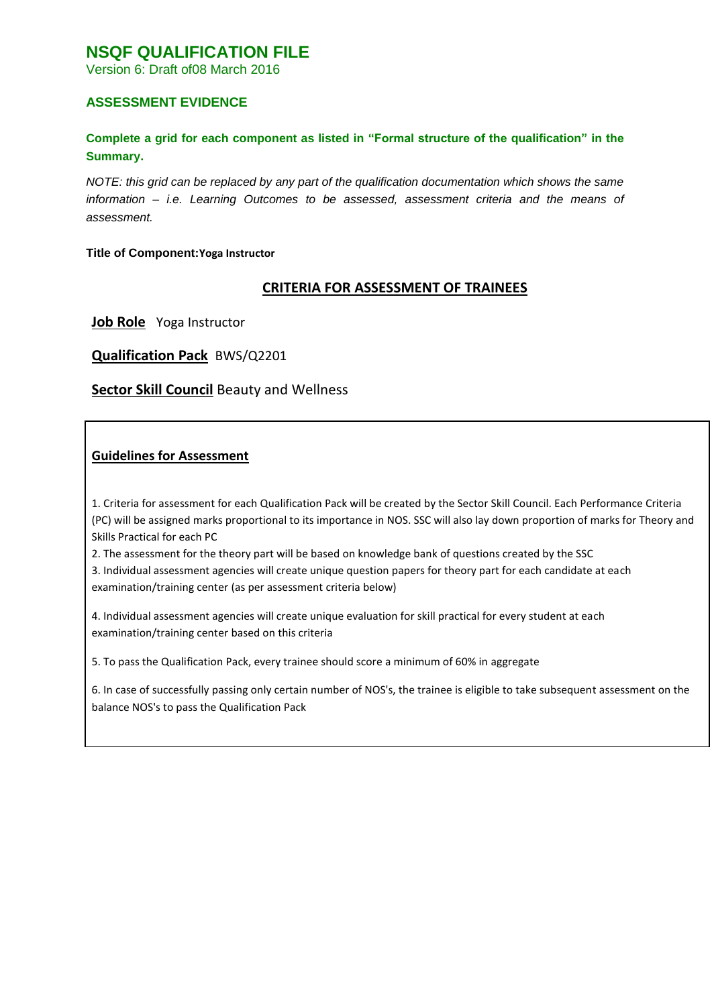Version 6: Draft of08 March 2016

#### **ASSESSMENT EVIDENCE**

#### **Complete a grid for each component as listed in "Formal structure of the qualification" in the Summary.**

*NOTE: this grid can be replaced by any part of the qualification documentation which shows the same information – i.e. Learning Outcomes to be assessed, assessment criteria and the means of assessment.* 

#### **Title of Component:Yoga Instructor**

#### **CRITERIA FOR ASSESSMENT OF TRAINEES**

**Job Role** Yoga Instructor

**Qualification Pack** BWS/Q2201

#### **Sector Skill Council** Beauty and Wellness

#### **Guidelines for Assessment**

1. Criteria for assessment for each Qualification Pack will be created by the Sector Skill Council. Each Performance Criteria (PC) will be assigned marks proportional to its importance in NOS. SSC will also lay down proportion of marks for Theory and Skills Practical for each PC

2. The assessment for the theory part will be based on knowledge bank of questions created by the SSC

3. Individual assessment agencies will create unique question papers for theory part for each candidate at each examination/training center (as per assessment criteria below)

4. Individual assessment agencies will create unique evaluation for skill practical for every student at each examination/training center based on this criteria

5. To pass the Qualification Pack, every trainee should score a minimum of 60% in aggregate

6. In case of successfully passing only certain number of NOS's, the trainee is eligible to take subsequent assessment on the balance NOS's to pass the Qualification Pack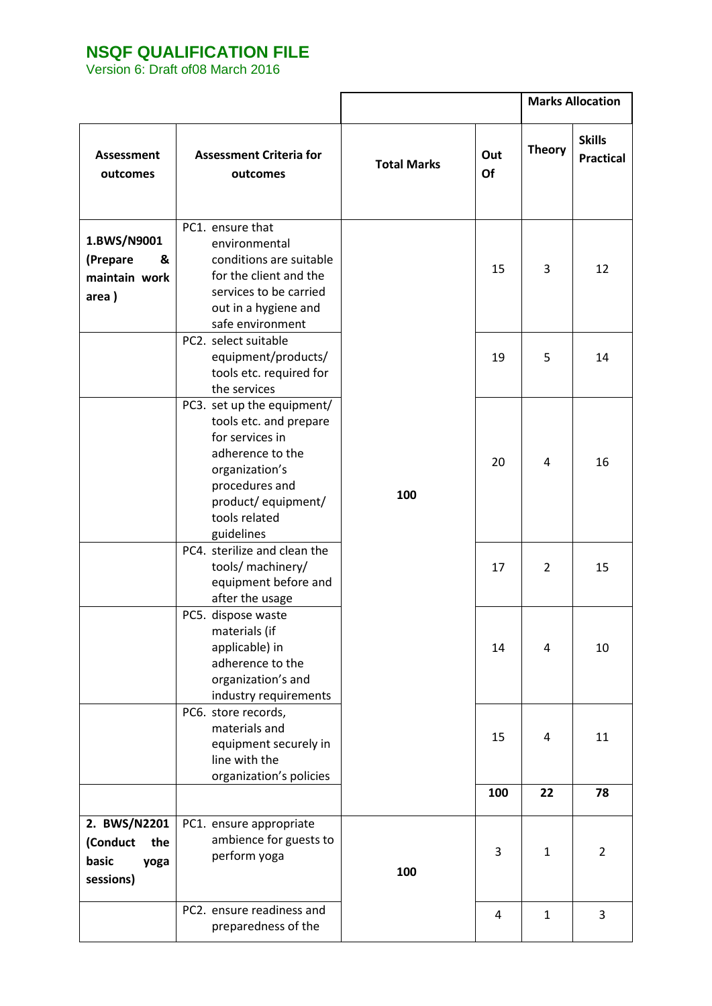|                                                               |                                                                                                                                                                                      |                    |           | <b>Marks Allocation</b> |                                   |
|---------------------------------------------------------------|--------------------------------------------------------------------------------------------------------------------------------------------------------------------------------------|--------------------|-----------|-------------------------|-----------------------------------|
| Assessment<br>outcomes                                        | <b>Assessment Criteria for</b><br>outcomes                                                                                                                                           | <b>Total Marks</b> | Out<br>Of | <b>Theory</b>           | <b>Skills</b><br><b>Practical</b> |
| 1.BWS/N9001<br>(Prepare<br>&<br>maintain work<br>area)        | PC1. ensure that<br>environmental<br>conditions are suitable<br>for the client and the<br>services to be carried<br>out in a hygiene and<br>safe environment                         |                    | 15        | 3                       | 12                                |
|                                                               | PC2. select suitable<br>equipment/products/<br>tools etc. required for<br>the services                                                                                               |                    | 19        | 5                       | 14                                |
|                                                               | PC3. set up the equipment/<br>tools etc. and prepare<br>for services in<br>adherence to the<br>organization's<br>procedures and<br>product/equipment/<br>tools related<br>guidelines | 100                | 20        | 4                       | 16                                |
|                                                               | PC4. sterilize and clean the<br>tools/ machinery/<br>equipment before and<br>after the usage                                                                                         |                    | 17        | 2                       | 15                                |
|                                                               | PC5. dispose waste<br>materials (if<br>applicable) in<br>adherence to the<br>organization's and<br>industry requirements                                                             |                    | 14        | 4                       | 10                                |
|                                                               | PC6. store records,<br>materials and<br>equipment securely in<br>line with the<br>organization's policies                                                                            |                    | 15        | 4                       | 11                                |
|                                                               |                                                                                                                                                                                      |                    | 100       | 22                      | 78                                |
| 2. BWS/N2201<br>(Conduct<br>the<br>basic<br>yoga<br>sessions) | PC1. ensure appropriate<br>ambience for guests to<br>perform yoga                                                                                                                    | 100                | 3         | $\mathbf{1}$            | $\overline{2}$                    |
|                                                               | PC2. ensure readiness and<br>preparedness of the                                                                                                                                     |                    | 4         | $\mathbf{1}$            | 3                                 |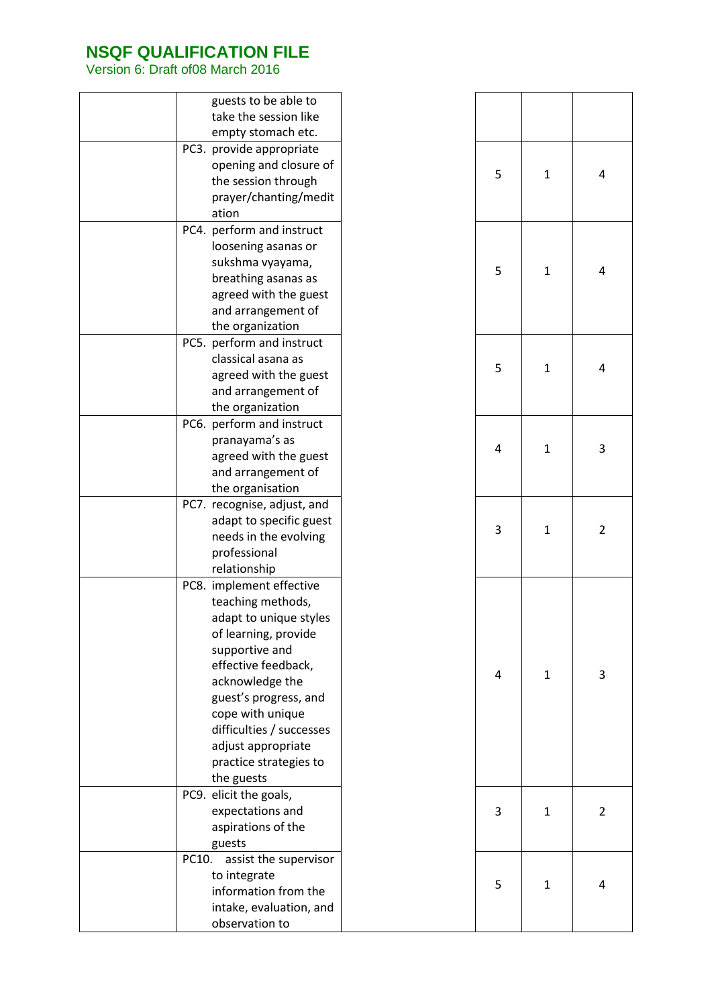| guests to be able to           |  |
|--------------------------------|--|
| take the session like          |  |
| empty stomach etc.             |  |
| PC3. provide appropriate       |  |
| opening and closure of         |  |
| the session through            |  |
| prayer/chanting/medit          |  |
| ation                          |  |
| PC4. perform and instruct      |  |
|                                |  |
| loosening asanas or            |  |
| sukshma vyayama,               |  |
| breathing asanas as            |  |
| agreed with the guest          |  |
| and arrangement of             |  |
| the organization               |  |
| PC5. perform and instruct      |  |
| classical asana as             |  |
| agreed with the guest          |  |
| and arrangement of             |  |
| the organization               |  |
| PC6. perform and instruct      |  |
| pranayama's as                 |  |
| agreed with the guest          |  |
| and arrangement of             |  |
| the organisation               |  |
| PC7. recognise, adjust, and    |  |
| adapt to specific guest        |  |
| needs in the evolving          |  |
| professional                   |  |
| relationship                   |  |
| PC8. implement effective       |  |
| teaching methods,              |  |
| adapt to unique styles         |  |
| of learning, provide           |  |
| supportive and                 |  |
| effective feedback,            |  |
| acknowledge the                |  |
|                                |  |
| guest's progress, and          |  |
| cope with unique               |  |
| difficulties / successes       |  |
| adjust appropriate             |  |
| practice strategies to         |  |
| the guests                     |  |
| PC9. elicit the goals,         |  |
| expectations and               |  |
| aspirations of the             |  |
| guests                         |  |
| PC10.<br>assist the supervisor |  |
| to integrate                   |  |
| information from the           |  |
| intake, evaluation, and        |  |
| observation to                 |  |
|                                |  |

| $\overline{5}$          | $\mathbf 1$  | $\overline{4}$          |
|-------------------------|--------------|-------------------------|
| 5                       | $\mathbf{1}$ | $\overline{4}$          |
| 5                       | $\mathbf{1}$ | $\pmb{4}$               |
| $\overline{\mathbf{r}}$ | $\mathbf{1}$ | 3                       |
| 3                       | $\mathbf{1}$ | $\overline{c}$          |
| $\overline{\mathbf{r}}$ | $\mathbf{1}$ | $\overline{\mathbf{3}}$ |
| 3                       | $\mathbf{1}$ | $\overline{\mathbf{c}}$ |
| 5                       | $\mathbf{1}$ | 4                       |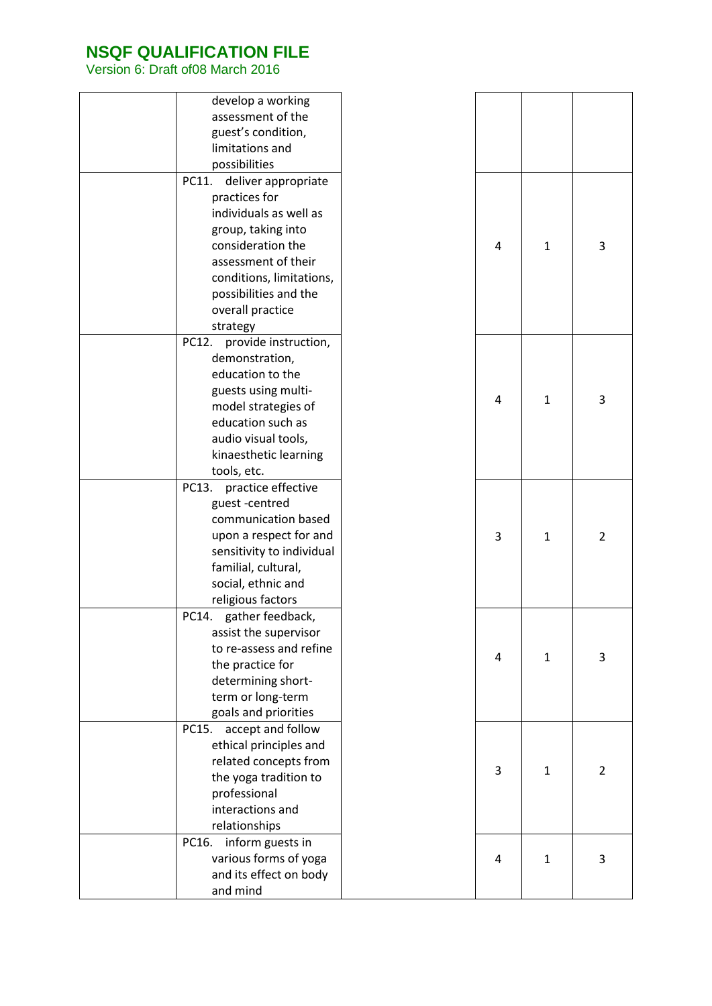| develop a working             |   |              |
|-------------------------------|---|--------------|
| assessment of the             |   |              |
| guest's condition,            |   |              |
| limitations and               |   |              |
| possibilities                 |   |              |
| PC11.<br>deliver appropriate  |   |              |
| practices for                 |   |              |
| individuals as well as        |   |              |
| group, taking into            |   |              |
| consideration the             | 4 | $\mathbf{1}$ |
| assessment of their           |   |              |
| conditions, limitations,      |   |              |
| possibilities and the         |   |              |
| overall practice              |   |              |
| strategy                      |   |              |
| provide instruction,<br>PC12. |   |              |
| demonstration,                |   |              |
| education to the              |   |              |
| guests using multi-           | 4 | 1            |
| model strategies of           |   |              |
| education such as             |   |              |
| audio visual tools,           |   |              |
| kinaesthetic learning         |   |              |
| tools, etc.                   |   |              |
| PC13.<br>practice effective   |   |              |
| guest-centred                 |   |              |
| communication based           |   |              |
| upon a respect for and        | 3 | 1            |
| sensitivity to individual     |   |              |
| familial, cultural,           |   |              |
| social, ethnic and            |   |              |
| religious factors             |   |              |
| PC14.<br>gather feedback,     |   |              |
| assist the supervisor         |   |              |
| to re-assess and refine       | 4 | 1            |
| the practice for              |   |              |
| determining short-            |   |              |
| term or long-term             |   |              |
| goals and priorities          |   |              |
| PC15.<br>accept and follow    |   |              |
| ethical principles and        |   |              |
| related concepts from         | 3 | 1            |
| the yoga tradition to         |   |              |
| professional                  |   |              |
| interactions and              |   |              |
| relationships                 |   |              |
| PC16.<br>inform guests in     |   |              |
| various forms of yoga         | 4 | 1            |
| and its effect on body        |   |              |
| and mind                      |   |              |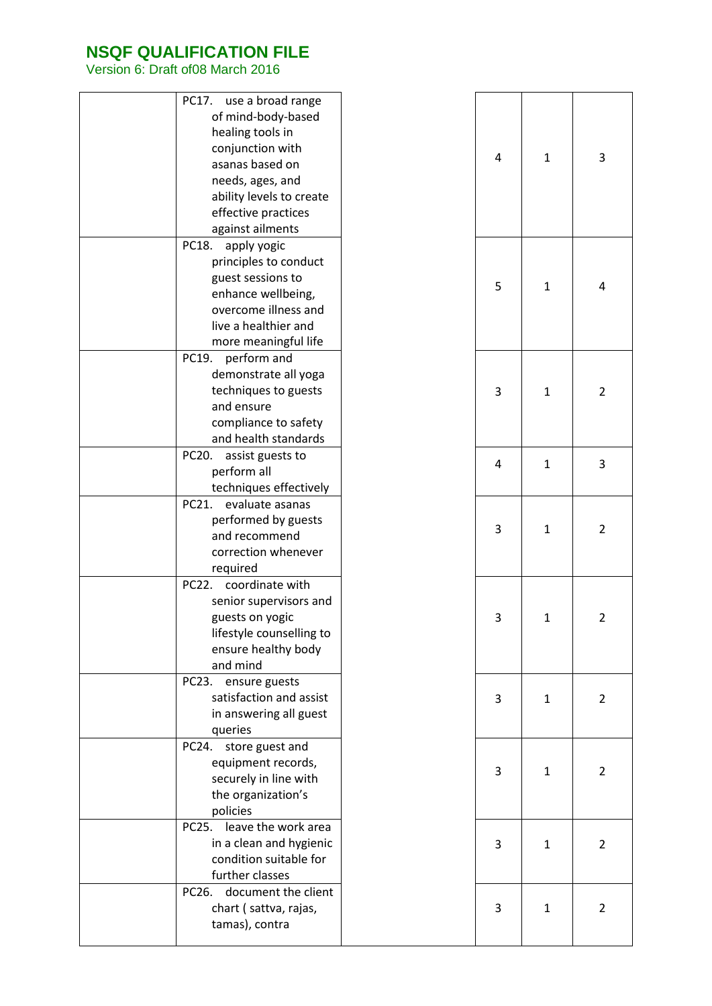| use a broad range<br>PC17.<br>of mind-body-based<br>healing tools in<br>conjunction with<br>asanas based on<br>needs, ages, and<br>ability levels to create<br>effective practices<br>against ailments |  | 4 | $\mathbf{1}$ |  |
|--------------------------------------------------------------------------------------------------------------------------------------------------------------------------------------------------------|--|---|--------------|--|
| apply yogic<br>PC18.<br>principles to conduct<br>guest sessions to<br>enhance wellbeing,<br>overcome illness and<br>live a healthier and<br>more meaningful life                                       |  | 5 | $\mathbf{1}$ |  |
| perform and<br>PC19.<br>demonstrate all yoga<br>techniques to guests<br>and ensure<br>compliance to safety<br>and health standards                                                                     |  | 3 | $\mathbf{1}$ |  |
| PC20.<br>assist guests to<br>perform all<br>techniques effectively                                                                                                                                     |  | 4 | 1            |  |
| PC21.<br>evaluate asanas<br>performed by guests<br>and recommend<br>correction whenever<br>required                                                                                                    |  | 3 | $\mathbf{1}$ |  |
| coordinate with<br>PC22.<br>senior supervisors and<br>guests on yogic<br>lifestyle counselling to<br>ensure healthy body<br>and mind                                                                   |  | 3 | 1            |  |
| ensure guests<br>PC23.<br>satisfaction and assist<br>in answering all guest<br>queries                                                                                                                 |  | 3 | $\mathbf{1}$ |  |
| store guest and<br>PC24.<br>equipment records,<br>securely in line with<br>the organization's<br>policies                                                                                              |  | 3 | 1            |  |
| PC25.<br>leave the work area<br>in a clean and hygienic<br>condition suitable for<br>further classes                                                                                                   |  | 3 | $\mathbf{1}$ |  |
| document the client<br>PC26.<br>chart (sattva, rajas,<br>tamas), contra                                                                                                                                |  | 3 | $\mathbf{1}$ |  |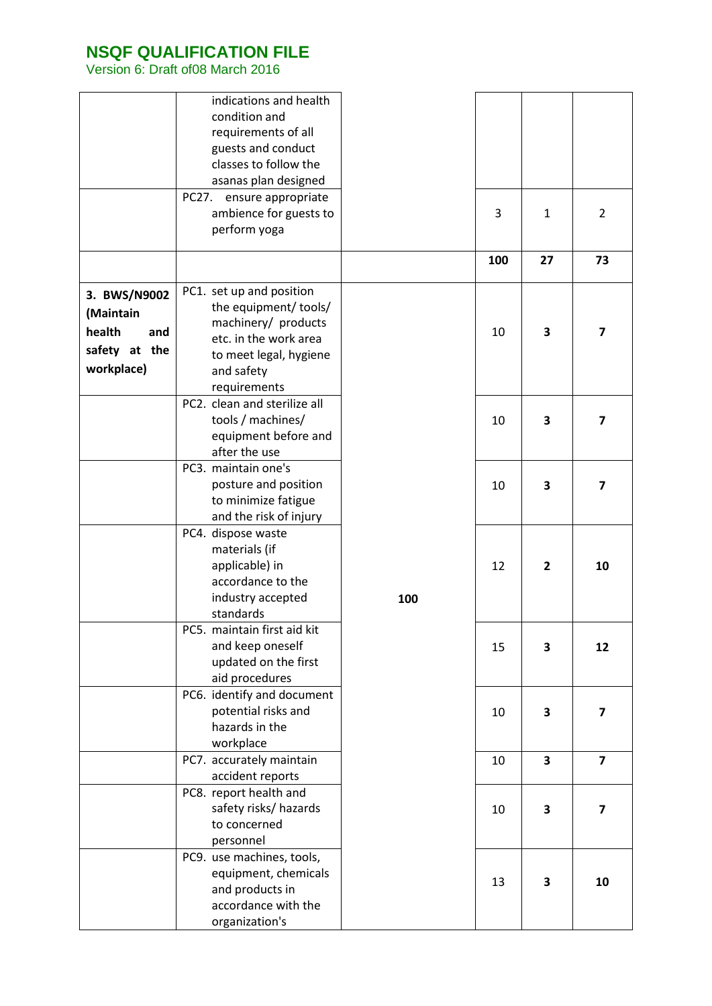|                                                                           | indications and health<br>condition and<br>requirements of all<br>guests and conduct<br>classes to follow the<br>asanas plan designed<br>PC27.<br>ensure appropriate<br>ambience for guests to<br>perform yoga |     | 3<br>100 | $\mathbf{1}$<br>27 | $\overline{2}$<br>73    |
|---------------------------------------------------------------------------|----------------------------------------------------------------------------------------------------------------------------------------------------------------------------------------------------------------|-----|----------|--------------------|-------------------------|
|                                                                           | PC1. set up and position                                                                                                                                                                                       |     |          |                    |                         |
| 3. BWS/N9002<br>(Maintain<br>health<br>and<br>safety at the<br>workplace) | the equipment/ tools/<br>machinery/ products<br>etc. in the work area<br>to meet legal, hygiene<br>and safety<br>requirements                                                                                  |     | 10       | 3                  | $\overline{\mathbf{z}}$ |
|                                                                           | PC2. clean and sterilize all<br>tools / machines/<br>equipment before and<br>after the use                                                                                                                     |     | 10       | 3                  | 7                       |
|                                                                           | PC3. maintain one's<br>posture and position<br>to minimize fatigue<br>and the risk of injury                                                                                                                   |     | 10       | 3                  | 7                       |
|                                                                           | PC4. dispose waste<br>materials (if<br>applicable) in<br>accordance to the<br>industry accepted<br>standards                                                                                                   | 100 | 12       | $\overline{2}$     | 10                      |
|                                                                           | PC5. maintain first aid kit<br>and keep oneself<br>updated on the first<br>aid procedures                                                                                                                      |     | 15       | 3                  | 12                      |
|                                                                           | PC6. identify and document<br>potential risks and<br>hazards in the<br>workplace                                                                                                                               |     | 10       | 3                  | 7                       |
|                                                                           | PC7. accurately maintain<br>accident reports                                                                                                                                                                   |     | 10       | 3                  | $\overline{\mathbf{z}}$ |
|                                                                           | PC8. report health and<br>safety risks/ hazards<br>to concerned<br>personnel                                                                                                                                   |     | 10       | 3                  | 7                       |
|                                                                           | PC9. use machines, tools,<br>equipment, chemicals<br>and products in<br>accordance with the<br>organization's                                                                                                  |     | 13       | 3                  | 10                      |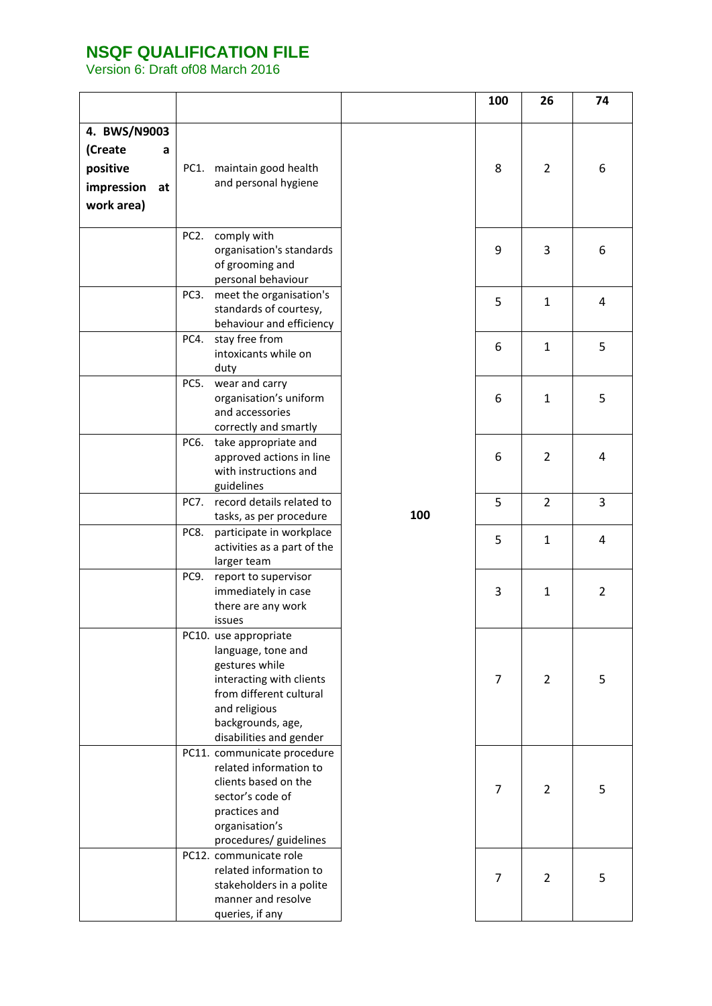|                  |                   |                                                         |     | 100 | 26             | 74             |
|------------------|-------------------|---------------------------------------------------------|-----|-----|----------------|----------------|
| 4. BWS/N9003     |                   |                                                         |     |     |                |                |
| (Create<br>a     |                   |                                                         |     |     |                |                |
| positive         |                   |                                                         |     | 8   | $\overline{2}$ | 6              |
|                  | PC1.              | maintain good health<br>and personal hygiene            |     |     |                |                |
| impression<br>at |                   |                                                         |     |     |                |                |
| work area)       |                   |                                                         |     |     |                |                |
|                  | PC <sub>2</sub> . | comply with                                             |     |     |                |                |
|                  |                   | organisation's standards                                |     | 9   | 3              | 6              |
|                  |                   | of grooming and                                         |     |     |                |                |
|                  |                   | personal behaviour                                      |     |     |                |                |
|                  | PC3.              | meet the organisation's                                 |     | 5   | $\mathbf{1}$   | 4              |
|                  |                   | standards of courtesy,                                  |     |     |                |                |
|                  | PC4.              | behaviour and efficiency<br>stay free from              |     |     |                |                |
|                  |                   | intoxicants while on                                    |     | 6   | $\mathbf{1}$   | 5              |
|                  |                   | duty                                                    |     |     |                |                |
|                  | PC5.              | wear and carry                                          |     |     |                |                |
|                  |                   | organisation's uniform                                  |     | 6   | $\mathbf{1}$   | 5              |
|                  |                   | and accessories                                         |     |     |                |                |
|                  | PC6.              | correctly and smartly<br>take appropriate and           |     |     |                |                |
|                  |                   | approved actions in line                                |     | 6   | $\overline{2}$ | 4              |
|                  |                   | with instructions and                                   |     |     |                |                |
|                  |                   | guidelines                                              |     |     |                |                |
|                  | <b>PC7.</b>       | record details related to                               |     | 5   | $\overline{2}$ | 3              |
|                  |                   | tasks, as per procedure                                 | 100 |     |                |                |
|                  | PC8.              | participate in workplace<br>activities as a part of the |     | 5   | $\mathbf{1}$   | 4              |
|                  |                   | larger team                                             |     |     |                |                |
|                  | PC9.              | report to supervisor                                    |     |     |                |                |
|                  |                   | immediately in case                                     |     | 3   | $\mathbf{1}$   | $\overline{2}$ |
|                  |                   | there are any work                                      |     |     |                |                |
|                  |                   | issues                                                  |     |     |                |                |
|                  |                   | PC10. use appropriate<br>language, tone and             |     |     |                |                |
|                  |                   | gestures while                                          |     |     |                |                |
|                  |                   | interacting with clients                                |     | 7   | $\overline{2}$ | 5              |
|                  |                   | from different cultural                                 |     |     |                |                |
|                  |                   | and religious                                           |     |     |                |                |
|                  |                   | backgrounds, age,                                       |     |     |                |                |
|                  |                   | disabilities and gender<br>PC11. communicate procedure  |     |     |                |                |
|                  |                   | related information to                                  |     |     |                |                |
|                  |                   | clients based on the                                    |     | 7   | $\overline{2}$ | 5              |
|                  |                   | sector's code of                                        |     |     |                |                |
|                  |                   | practices and                                           |     |     |                |                |
|                  |                   | organisation's<br>procedures/ guidelines                |     |     |                |                |
|                  |                   | PC12. communicate role                                  |     |     |                |                |
|                  |                   | related information to                                  |     |     |                |                |
|                  |                   | stakeholders in a polite                                |     | 7   | $\overline{2}$ | 5              |
|                  |                   | manner and resolve                                      |     |     |                |                |
|                  |                   | queries, if any                                         |     |     |                |                |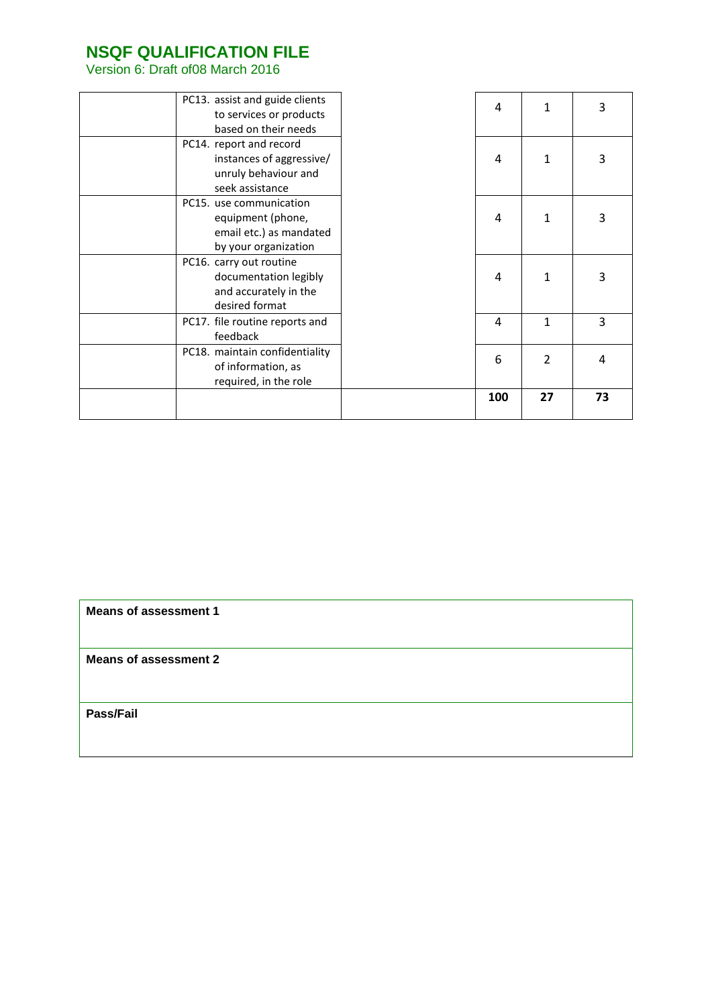Version 6: Draft of08 March 2016

| PC13. assist and guide clients<br>to services or products<br>based on their needs               | $\overline{4}$ | 1              | 3  |
|-------------------------------------------------------------------------------------------------|----------------|----------------|----|
| PC14. report and record<br>instances of aggressive/<br>unruly behaviour and<br>seek assistance  | 4              | 1              | 3  |
| PC15. use communication<br>equipment (phone,<br>email etc.) as mandated<br>by your organization | 4              | 1              | 3  |
| PC16. carry out routine<br>documentation legibly<br>and accurately in the<br>desired format     | $\overline{4}$ | 1              | 3  |
| PC17. file routine reports and<br>feedback                                                      | $\overline{4}$ | $\mathbf{1}$   | 3  |
| PC18. maintain confidentiality<br>of information, as<br>required, in the role                   | 6              | $\overline{2}$ | 4  |
|                                                                                                 | 100            | 27             | 73 |

**Means of assessment 1**

**Means of assessment 2**

**Pass/Fail**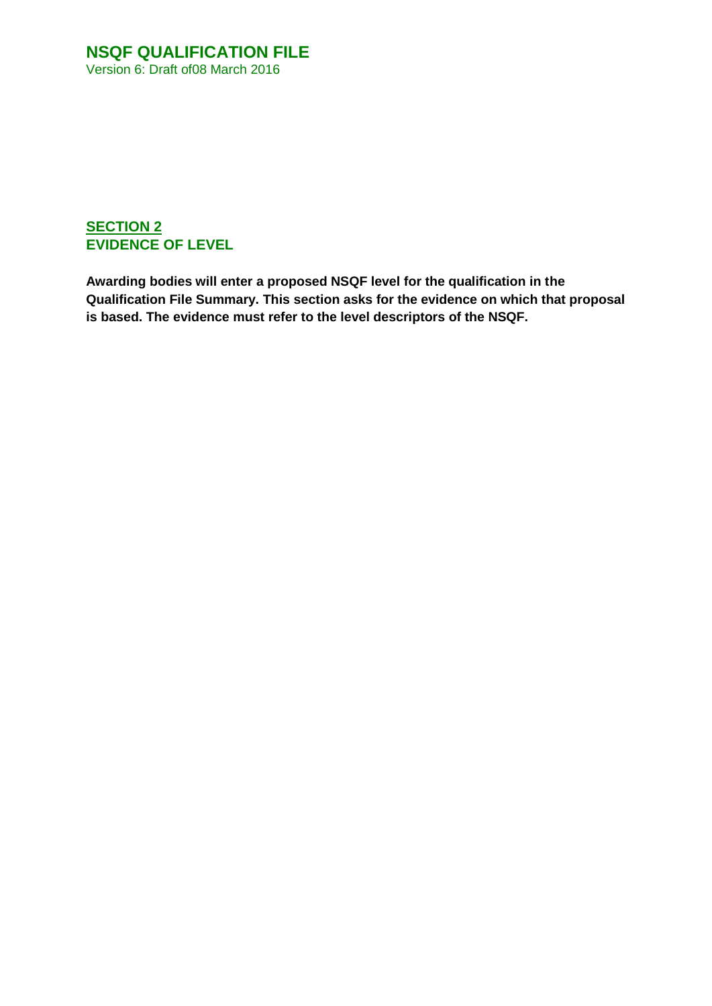### **SECTION 2 EVIDENCE OF LEVEL**

**Awarding bodies will enter a proposed NSQF level for the qualification in the Qualification File Summary. This section asks for the evidence on which that proposal is based. The evidence must refer to the level descriptors of the NSQF.**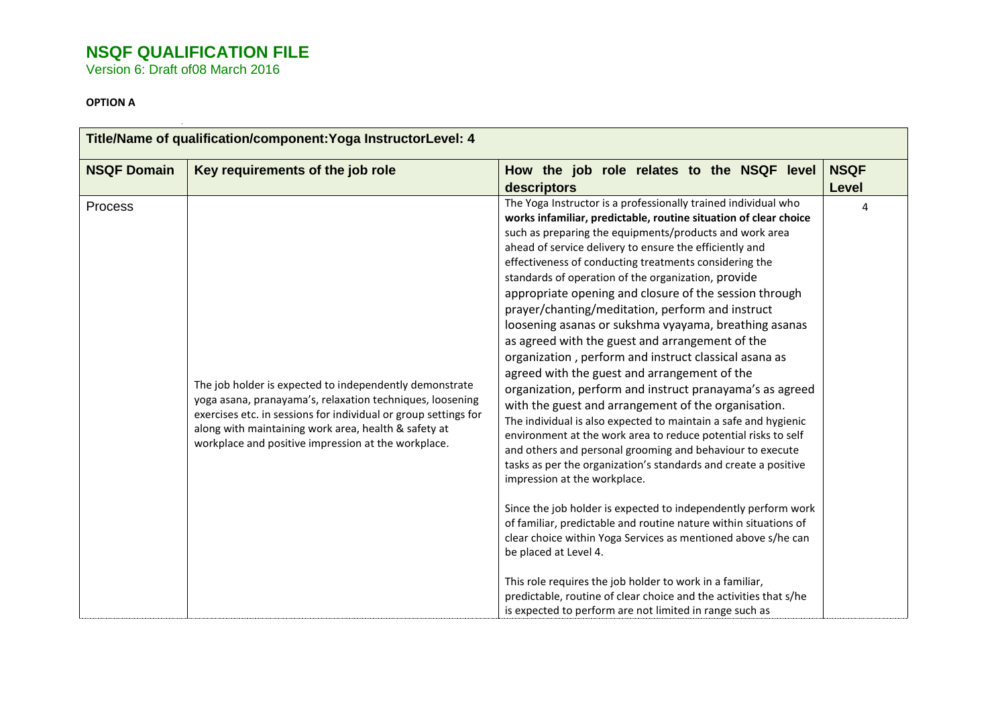Version 6: Draft of08 March 2016

#### **OPTION A**

| How the job role relates to the NSQF level<br>descriptors                                                                                                                                                                                                                                                                                                                                                                                                                                                                                                                                                                                                                                                                                                                                                                                                                                                                                                                                                                                                                                                                                                                                                                                                                                                                                                                                                                                                                                             | <b>NSQF</b><br>Level                                    |
|-------------------------------------------------------------------------------------------------------------------------------------------------------------------------------------------------------------------------------------------------------------------------------------------------------------------------------------------------------------------------------------------------------------------------------------------------------------------------------------------------------------------------------------------------------------------------------------------------------------------------------------------------------------------------------------------------------------------------------------------------------------------------------------------------------------------------------------------------------------------------------------------------------------------------------------------------------------------------------------------------------------------------------------------------------------------------------------------------------------------------------------------------------------------------------------------------------------------------------------------------------------------------------------------------------------------------------------------------------------------------------------------------------------------------------------------------------------------------------------------------------|---------------------------------------------------------|
| The Yoga Instructor is a professionally trained individual who<br>works infamiliar, predictable, routine situation of clear choice<br>such as preparing the equipments/products and work area<br>ahead of service delivery to ensure the efficiently and<br>effectiveness of conducting treatments considering the<br>standards of operation of the organization, provide<br>appropriate opening and closure of the session through<br>prayer/chanting/meditation, perform and instruct<br>loosening asanas or sukshma vyayama, breathing asanas<br>as agreed with the guest and arrangement of the<br>organization, perform and instruct classical asana as<br>agreed with the guest and arrangement of the<br>organization, perform and instruct pranayama's as agreed<br>with the guest and arrangement of the organisation.<br>The individual is also expected to maintain a safe and hygienic<br>environment at the work area to reduce potential risks to self<br>and others and personal grooming and behaviour to execute<br>tasks as per the organization's standards and create a positive<br>impression at the workplace.<br>Since the job holder is expected to independently perform work<br>of familiar, predictable and routine nature within situations of<br>clear choice within Yoga Services as mentioned above s/he can<br>be placed at Level 4.<br>This role requires the job holder to work in a familiar,<br>predictable, routine of clear choice and the activities that s/he | 4                                                       |
|                                                                                                                                                                                                                                                                                                                                                                                                                                                                                                                                                                                                                                                                                                                                                                                                                                                                                                                                                                                                                                                                                                                                                                                                                                                                                                                                                                                                                                                                                                       | is expected to perform are not limited in range such as |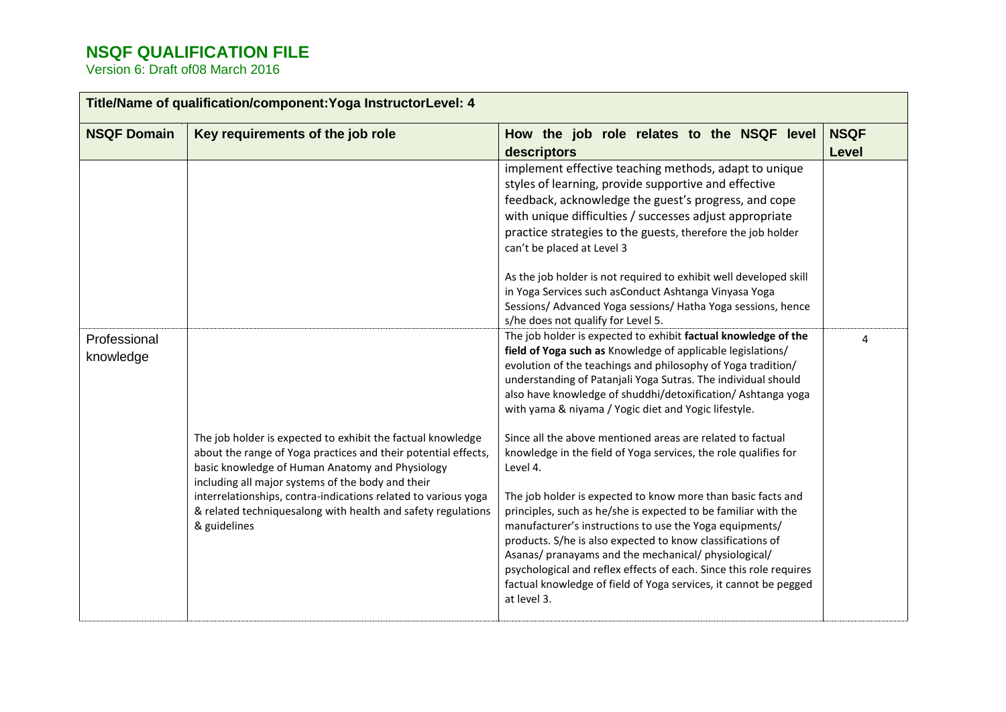|                           | Title/Name of qualification/component: Yoga InstructorLevel: 4                                                                                                                                                                        |                                                                                                                                                                                                                                                                                                                                                                                                                                                                          |                      |
|---------------------------|---------------------------------------------------------------------------------------------------------------------------------------------------------------------------------------------------------------------------------------|--------------------------------------------------------------------------------------------------------------------------------------------------------------------------------------------------------------------------------------------------------------------------------------------------------------------------------------------------------------------------------------------------------------------------------------------------------------------------|----------------------|
| <b>NSQF Domain</b>        | Key requirements of the job role                                                                                                                                                                                                      | How the job role relates to the NSQF level<br>descriptors                                                                                                                                                                                                                                                                                                                                                                                                                | <b>NSQF</b><br>Level |
|                           |                                                                                                                                                                                                                                       | implement effective teaching methods, adapt to unique<br>styles of learning, provide supportive and effective<br>feedback, acknowledge the guest's progress, and cope<br>with unique difficulties / successes adjust appropriate<br>practice strategies to the guests, therefore the job holder<br>can't be placed at Level 3                                                                                                                                            |                      |
|                           |                                                                                                                                                                                                                                       | As the job holder is not required to exhibit well developed skill<br>in Yoga Services such asConduct Ashtanga Vinyasa Yoga<br>Sessions/ Advanced Yoga sessions/ Hatha Yoga sessions, hence<br>s/he does not qualify for Level 5.                                                                                                                                                                                                                                         |                      |
| Professional<br>knowledge |                                                                                                                                                                                                                                       | The job holder is expected to exhibit factual knowledge of the<br>field of Yoga such as Knowledge of applicable legislations/<br>evolution of the teachings and philosophy of Yoga tradition/<br>understanding of Patanjali Yoga Sutras. The individual should<br>also have knowledge of shuddhi/detoxification/ Ashtanga yoga<br>with yama & niyama / Yogic diet and Yogic lifestyle.                                                                                   | 4                    |
|                           | The job holder is expected to exhibit the factual knowledge<br>about the range of Yoga practices and their potential effects,<br>basic knowledge of Human Anatomy and Physiology<br>including all major systems of the body and their | Since all the above mentioned areas are related to factual<br>knowledge in the field of Yoga services, the role qualifies for<br>Level 4.                                                                                                                                                                                                                                                                                                                                |                      |
|                           | interrelationships, contra-indications related to various yoga<br>& related techniquesalong with health and safety regulations<br>& guidelines                                                                                        | The job holder is expected to know more than basic facts and<br>principles, such as he/she is expected to be familiar with the<br>manufacturer's instructions to use the Yoga equipments/<br>products. S/he is also expected to know classifications of<br>Asanas/ pranayams and the mechanical/ physiological/<br>psychological and reflex effects of each. Since this role requires<br>factual knowledge of field of Yoga services, it cannot be pegged<br>at level 3. |                      |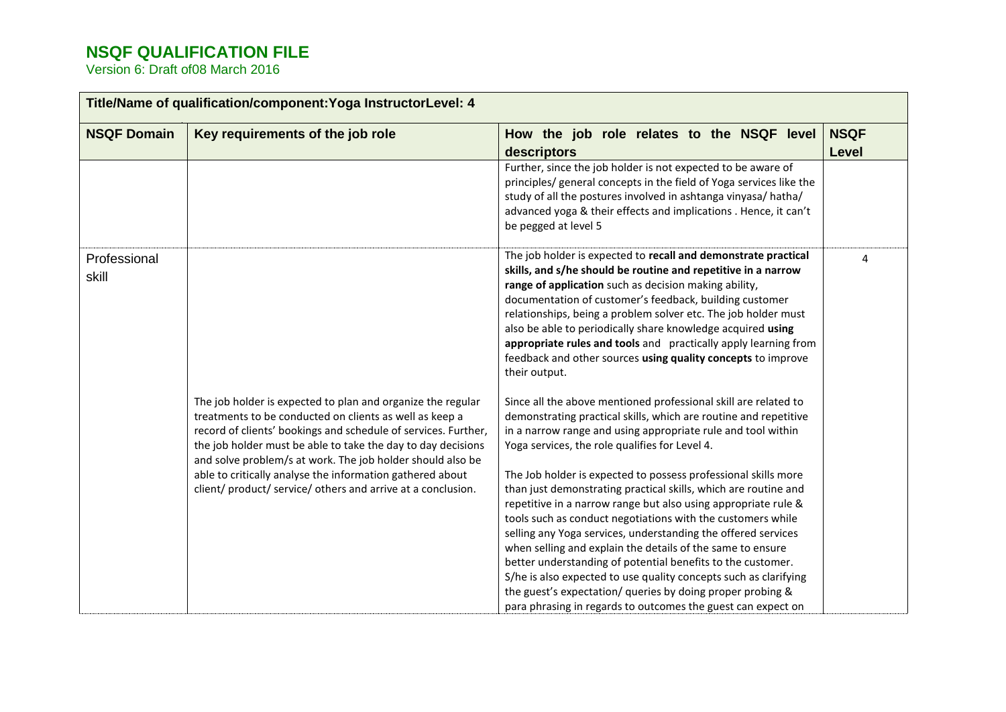|                       | Title/Name of qualification/component: Yoga InstructorLevel: 4                                                                                                                                                                                                                                                                                                                                                                                      |                                                                                                                                                                                                                                                                                                                                                                                                                                                                                                                                                                                                                                                                                                                                                                                                                                                                                                                                                                                                                                                                                                                                                                                                                                                                                                                                                                                                                                                                         |                             |  |
|-----------------------|-----------------------------------------------------------------------------------------------------------------------------------------------------------------------------------------------------------------------------------------------------------------------------------------------------------------------------------------------------------------------------------------------------------------------------------------------------|-------------------------------------------------------------------------------------------------------------------------------------------------------------------------------------------------------------------------------------------------------------------------------------------------------------------------------------------------------------------------------------------------------------------------------------------------------------------------------------------------------------------------------------------------------------------------------------------------------------------------------------------------------------------------------------------------------------------------------------------------------------------------------------------------------------------------------------------------------------------------------------------------------------------------------------------------------------------------------------------------------------------------------------------------------------------------------------------------------------------------------------------------------------------------------------------------------------------------------------------------------------------------------------------------------------------------------------------------------------------------------------------------------------------------------------------------------------------------|-----------------------------|--|
| <b>NSQF Domain</b>    | Key requirements of the job role                                                                                                                                                                                                                                                                                                                                                                                                                    | How the job role relates to the NSQF level<br>descriptors                                                                                                                                                                                                                                                                                                                                                                                                                                                                                                                                                                                                                                                                                                                                                                                                                                                                                                                                                                                                                                                                                                                                                                                                                                                                                                                                                                                                               | <b>NSQF</b><br><b>Level</b> |  |
|                       |                                                                                                                                                                                                                                                                                                                                                                                                                                                     | Further, since the job holder is not expected to be aware of<br>principles/ general concepts in the field of Yoga services like the<br>study of all the postures involved in ashtanga vinyasa/hatha/<br>advanced yoga & their effects and implications . Hence, it can't<br>be pegged at level 5                                                                                                                                                                                                                                                                                                                                                                                                                                                                                                                                                                                                                                                                                                                                                                                                                                                                                                                                                                                                                                                                                                                                                                        |                             |  |
| Professional<br>skill | The job holder is expected to plan and organize the regular<br>treatments to be conducted on clients as well as keep a<br>record of clients' bookings and schedule of services. Further,<br>the job holder must be able to take the day to day decisions<br>and solve problem/s at work. The job holder should also be<br>able to critically analyse the information gathered about<br>client/ product/ service/ others and arrive at a conclusion. | The job holder is expected to recall and demonstrate practical<br>skills, and s/he should be routine and repetitive in a narrow<br>range of application such as decision making ability,<br>documentation of customer's feedback, building customer<br>relationships, being a problem solver etc. The job holder must<br>also be able to periodically share knowledge acquired using<br>appropriate rules and tools and practically apply learning from<br>feedback and other sources using quality concepts to improve<br>their output.<br>Since all the above mentioned professional skill are related to<br>demonstrating practical skills, which are routine and repetitive<br>in a narrow range and using appropriate rule and tool within<br>Yoga services, the role qualifies for Level 4.<br>The Job holder is expected to possess professional skills more<br>than just demonstrating practical skills, which are routine and<br>repetitive in a narrow range but also using appropriate rule &<br>tools such as conduct negotiations with the customers while<br>selling any Yoga services, understanding the offered services<br>when selling and explain the details of the same to ensure<br>better understanding of potential benefits to the customer.<br>S/he is also expected to use quality concepts such as clarifying<br>the guest's expectation/ queries by doing proper probing &<br>para phrasing in regards to outcomes the guest can expect on | $\boldsymbol{\Delta}$       |  |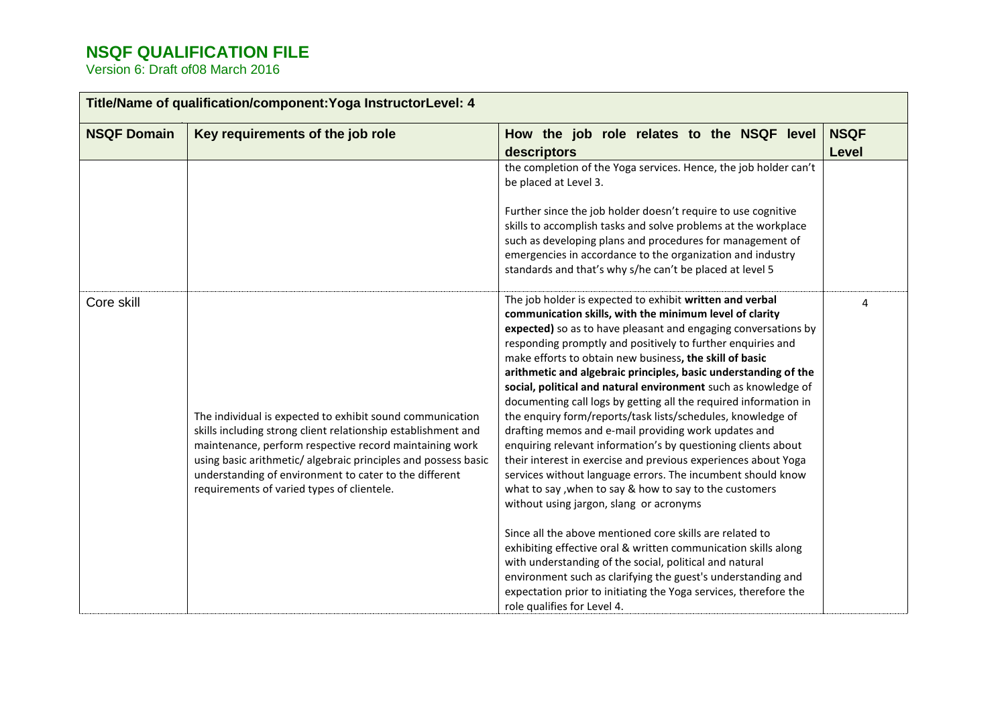| Title/Name of qualification/component: Yoga InstructorLevel: 4 |                                                                                                                                                                                                                                                                                                                                                                 |                                                                                                                                                                                                                                                                                                                                                                                                                                                                                                                                                                                                                                                                                                                                                                                                                                                                                                                                                         |                      |
|----------------------------------------------------------------|-----------------------------------------------------------------------------------------------------------------------------------------------------------------------------------------------------------------------------------------------------------------------------------------------------------------------------------------------------------------|---------------------------------------------------------------------------------------------------------------------------------------------------------------------------------------------------------------------------------------------------------------------------------------------------------------------------------------------------------------------------------------------------------------------------------------------------------------------------------------------------------------------------------------------------------------------------------------------------------------------------------------------------------------------------------------------------------------------------------------------------------------------------------------------------------------------------------------------------------------------------------------------------------------------------------------------------------|----------------------|
| <b>NSQF Domain</b>                                             | Key requirements of the job role                                                                                                                                                                                                                                                                                                                                | How the job role relates to the NSQF level<br>descriptors                                                                                                                                                                                                                                                                                                                                                                                                                                                                                                                                                                                                                                                                                                                                                                                                                                                                                               | <b>NSQF</b><br>Level |
|                                                                |                                                                                                                                                                                                                                                                                                                                                                 | the completion of the Yoga services. Hence, the job holder can't<br>be placed at Level 3.                                                                                                                                                                                                                                                                                                                                                                                                                                                                                                                                                                                                                                                                                                                                                                                                                                                               |                      |
|                                                                |                                                                                                                                                                                                                                                                                                                                                                 | Further since the job holder doesn't require to use cognitive<br>skills to accomplish tasks and solve problems at the workplace<br>such as developing plans and procedures for management of<br>emergencies in accordance to the organization and industry<br>standards and that's why s/he can't be placed at level 5                                                                                                                                                                                                                                                                                                                                                                                                                                                                                                                                                                                                                                  |                      |
| Core skill                                                     | The individual is expected to exhibit sound communication<br>skills including strong client relationship establishment and<br>maintenance, perform respective record maintaining work<br>using basic arithmetic/ algebraic principles and possess basic<br>understanding of environment to cater to the different<br>requirements of varied types of clientele. | The job holder is expected to exhibit written and verbal<br>communication skills, with the minimum level of clarity<br>expected) so as to have pleasant and engaging conversations by<br>responding promptly and positively to further enquiries and<br>make efforts to obtain new business, the skill of basic<br>arithmetic and algebraic principles, basic understanding of the<br>social, political and natural environment such as knowledge of<br>documenting call logs by getting all the required information in<br>the enquiry form/reports/task lists/schedules, knowledge of<br>drafting memos and e-mail providing work updates and<br>enquiring relevant information's by questioning clients about<br>their interest in exercise and previous experiences about Yoga<br>services without language errors. The incumbent should know<br>what to say , when to say & how to say to the customers<br>without using jargon, slang or acronyms | 4                    |
|                                                                |                                                                                                                                                                                                                                                                                                                                                                 | Since all the above mentioned core skills are related to<br>exhibiting effective oral & written communication skills along<br>with understanding of the social, political and natural<br>environment such as clarifying the guest's understanding and<br>expectation prior to initiating the Yoga services, therefore the<br>role qualifies for Level 4.                                                                                                                                                                                                                                                                                                                                                                                                                                                                                                                                                                                                |                      |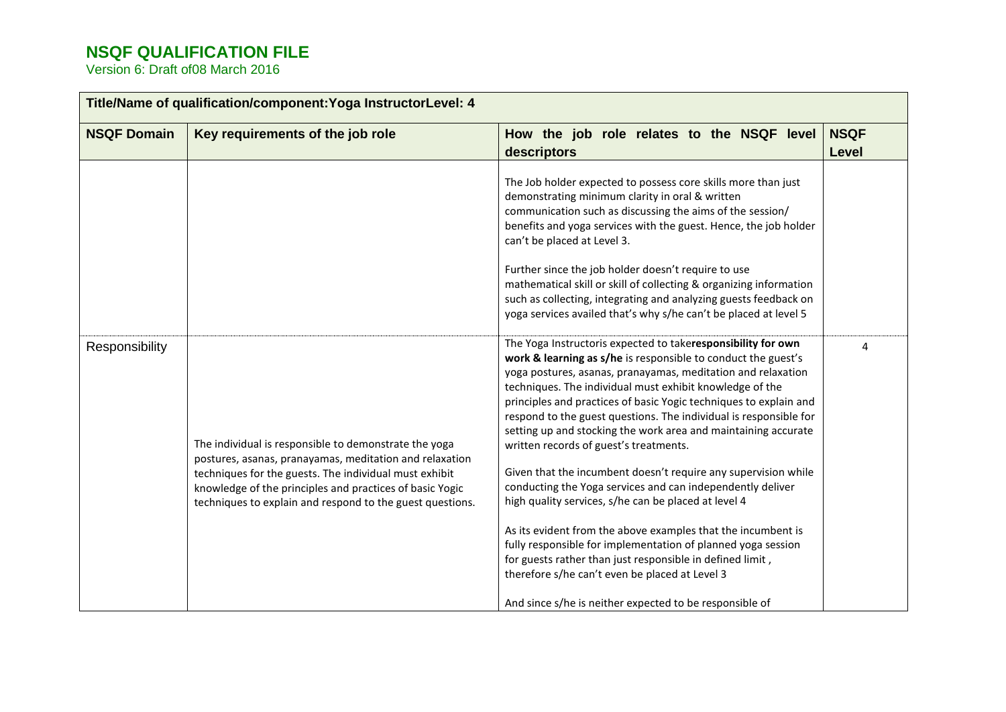| <b>NSQF Domain</b> | Key requirements of the job role                                                                                                                                                                                                                                                                    | How the job role relates to the NSQF level<br>descriptors                                                                                                                                                                                                                                                                                                                                                                                                                                                                                                                                                                                                                                               | <b>NSQF</b><br><b>Level</b> |
|--------------------|-----------------------------------------------------------------------------------------------------------------------------------------------------------------------------------------------------------------------------------------------------------------------------------------------------|---------------------------------------------------------------------------------------------------------------------------------------------------------------------------------------------------------------------------------------------------------------------------------------------------------------------------------------------------------------------------------------------------------------------------------------------------------------------------------------------------------------------------------------------------------------------------------------------------------------------------------------------------------------------------------------------------------|-----------------------------|
|                    |                                                                                                                                                                                                                                                                                                     | The Job holder expected to possess core skills more than just<br>demonstrating minimum clarity in oral & written<br>communication such as discussing the aims of the session/<br>benefits and yoga services with the guest. Hence, the job holder<br>can't be placed at Level 3.<br>Further since the job holder doesn't require to use<br>mathematical skill or skill of collecting & organizing information<br>such as collecting, integrating and analyzing guests feedback on                                                                                                                                                                                                                       |                             |
|                    |                                                                                                                                                                                                                                                                                                     | yoga services availed that's why s/he can't be placed at level 5                                                                                                                                                                                                                                                                                                                                                                                                                                                                                                                                                                                                                                        |                             |
| Responsibility     | The individual is responsible to demonstrate the yoga<br>postures, asanas, pranayamas, meditation and relaxation<br>techniques for the guests. The individual must exhibit<br>knowledge of the principles and practices of basic Yogic<br>techniques to explain and respond to the guest questions. | The Yoga Instructoris expected to takeresponsibility for own<br>work & learning as s/he is responsible to conduct the guest's<br>yoga postures, asanas, pranayamas, meditation and relaxation<br>techniques. The individual must exhibit knowledge of the<br>principles and practices of basic Yogic techniques to explain and<br>respond to the guest questions. The individual is responsible for<br>setting up and stocking the work area and maintaining accurate<br>written records of guest's treatments.<br>Given that the incumbent doesn't require any supervision while<br>conducting the Yoga services and can independently deliver<br>high quality services, s/he can be placed at level 4 | 4                           |
|                    |                                                                                                                                                                                                                                                                                                     | As its evident from the above examples that the incumbent is<br>fully responsible for implementation of planned yoga session<br>for guests rather than just responsible in defined limit,<br>therefore s/he can't even be placed at Level 3                                                                                                                                                                                                                                                                                                                                                                                                                                                             |                             |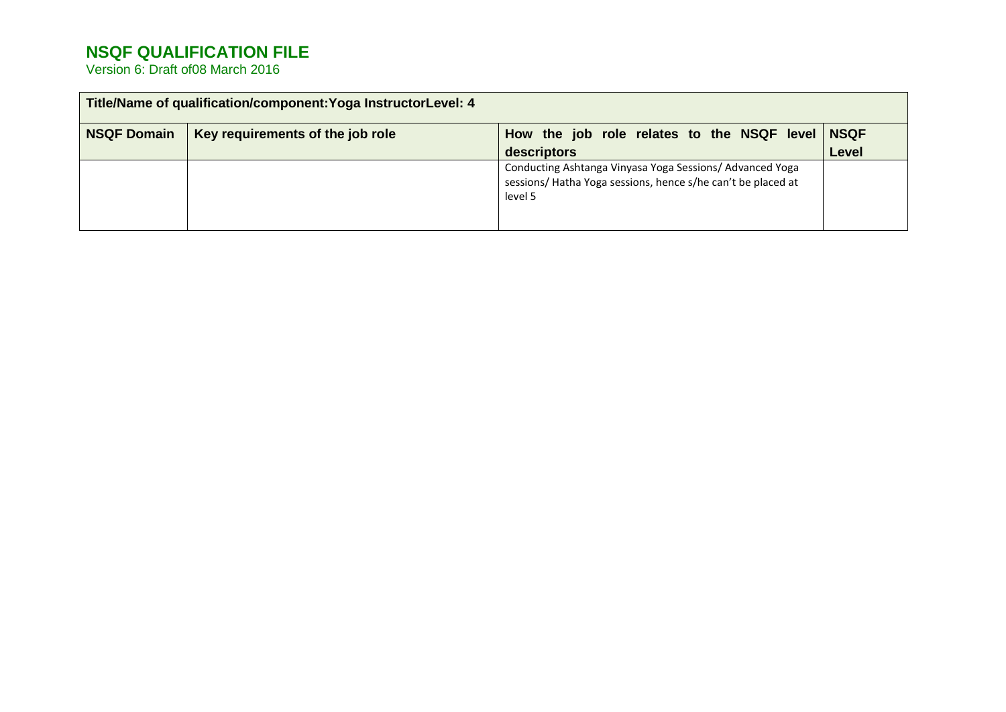|                    | Title/Name of qualification/component: Yoga InstructorLevel: 4 |                                                                                                                                    |              |
|--------------------|----------------------------------------------------------------|------------------------------------------------------------------------------------------------------------------------------------|--------------|
| <b>NSQF Domain</b> | Key requirements of the job role                               | How the job role relates to the NSQF level NSQF                                                                                    |              |
|                    |                                                                | descriptors                                                                                                                        | <b>Level</b> |
|                    |                                                                | Conducting Ashtanga Vinyasa Yoga Sessions/ Advanced Yoga<br>sessions/Hatha Yoga sessions, hence s/he can't be placed at<br>level 5 |              |
|                    |                                                                |                                                                                                                                    |              |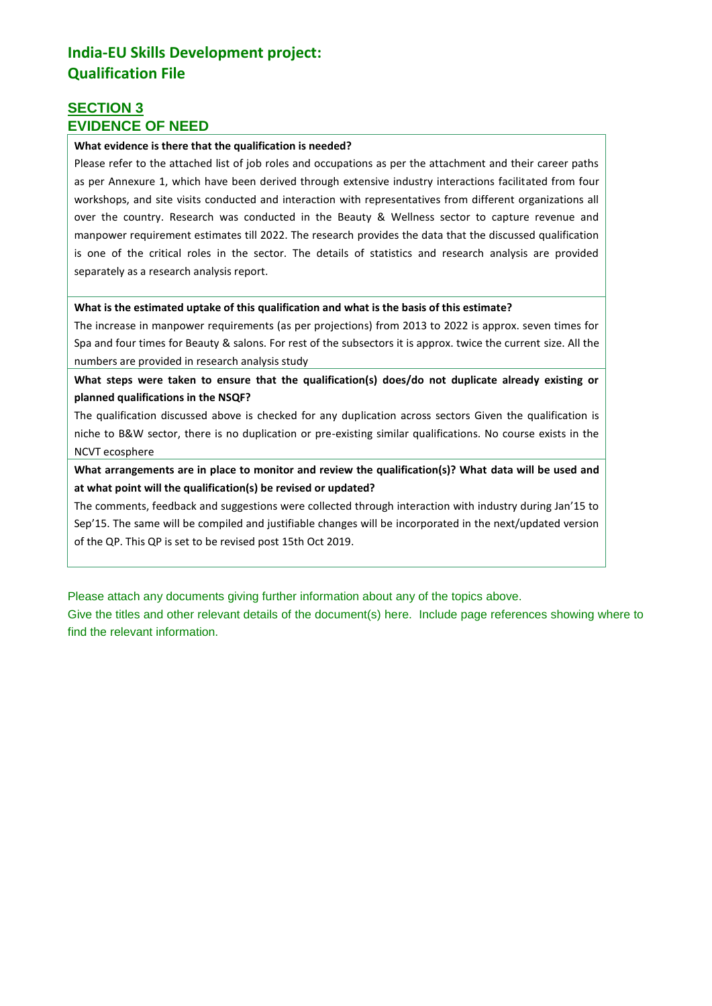### **India-EU Skills Development project: Qualification File**

### **SECTION 3 EVIDENCE OF NEED**

#### **What evidence is there that the qualification is needed?**

Please refer to the attached list of job roles and occupations as per the attachment and their career paths as per Annexure 1, which have been derived through extensive industry interactions facilitated from four workshops, and site visits conducted and interaction with representatives from different organizations all over the country. Research was conducted in the Beauty & Wellness sector to capture revenue and manpower requirement estimates till 2022. The research provides the data that the discussed qualification is one of the critical roles in the sector. The details of statistics and research analysis are provided separately as a research analysis report.

#### **What is the estimated uptake of this qualification and what is the basis of this estimate?**

The increase in manpower requirements (as per projections) from 2013 to 2022 is approx. seven times for Spa and four times for Beauty & salons. For rest of the subsectors it is approx. twice the current size. All the numbers are provided in research analysis study

**What steps were taken to ensure that the qualification(s) does/do not duplicate already existing or planned qualifications in the NSQF?**

The qualification discussed above is checked for any duplication across sectors Given the qualification is niche to B&W sector, there is no duplication or pre-existing similar qualifications. No course exists in the NCVT ecosphere

**What arrangements are in place to monitor and review the qualification(s)? What data will be used and at what point will the qualification(s) be revised or updated?**

The comments, feedback and suggestions were collected through interaction with industry during Jan'15 to Sep'15. The same will be compiled and justifiable changes will be incorporated in the next/updated version of the QP. This QP is set to be revised post 15th Oct 2019.

Please attach any documents giving further information about any of the topics above.

Give the titles and other relevant details of the document(s) here. Include page references showing where to find the relevant information.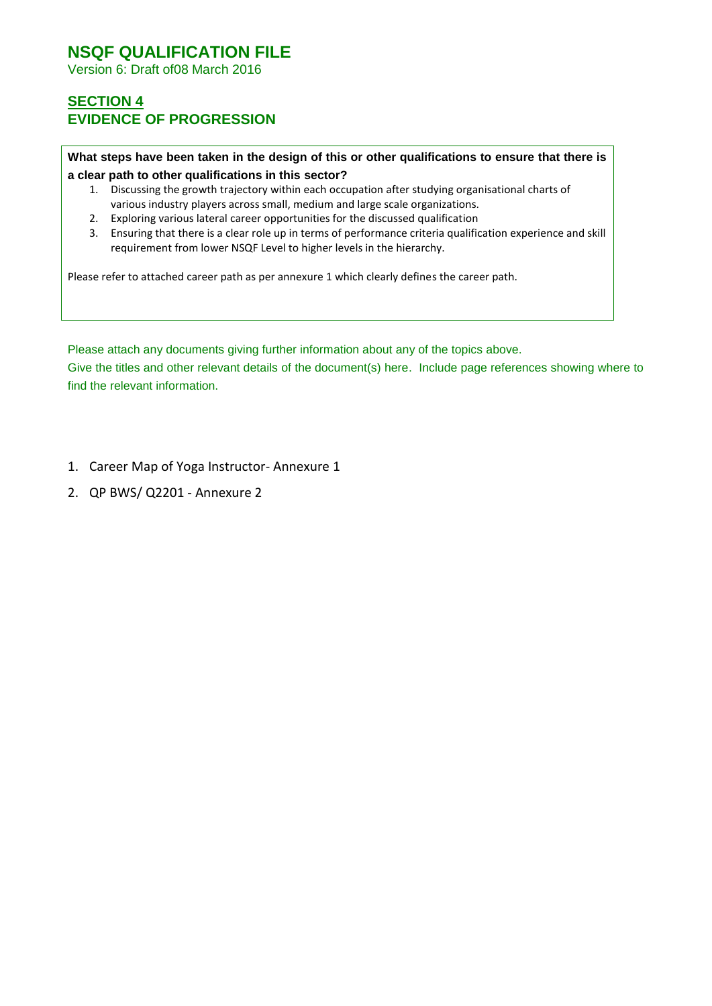Version 6: Draft of08 March 2016

### **SECTION 4 EVIDENCE OF PROGRESSION**

**What steps have been taken in the design of this or other qualifications to ensure that there is a clear path to other qualifications in this sector?**

- 1. Discussing the growth trajectory within each occupation after studying organisational charts of various industry players across small, medium and large scale organizations.
- 2. Exploring various lateral career opportunities for the discussed qualification
- 3. Ensuring that there is a clear role up in terms of performance criteria qualification experience and skill requirement from lower NSQF Level to higher levels in the hierarchy.

Please refer to attached career path as per annexure 1 which clearly defines the career path.

Please attach any documents giving further information about any of the topics above. Give the titles and other relevant details of the document(s) here. Include page references showing where to find the relevant information.

- 1. Career Map of Yoga Instructor- Annexure 1
- 2. QP BWS/ Q2201 Annexure 2